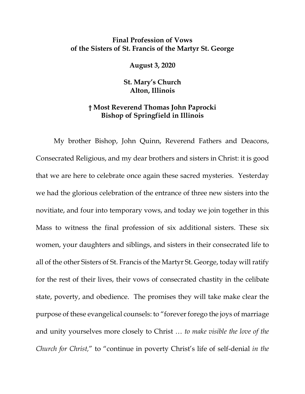## **Final Profession of Vows of the Sisters of St. Francis of the Martyr St. George**

**August 3, 2020**

**St. Mary's Church Alton, Illinois**

## **† Most Reverend Thomas John Paprocki Bishop of Springfield in Illinois**

My brother Bishop, John Quinn, Reverend Fathers and Deacons, Consecrated Religious, and my dear brothers and sisters in Christ: it is good that we are here to celebrate once again these sacred mysteries. Yesterday we had the glorious celebration of the entrance of three new sisters into the novitiate, and four into temporary vows, and today we join together in this Mass to witness the final profession of six additional sisters. These six women, your daughters and siblings, and sisters in their consecrated life to all of the other Sisters of St. Francis of the Martyr St. George, today will ratify for the rest of their lives, their vows of consecrated chastity in the celibate state, poverty, and obedience. The promises they will take make clear the purpose of these evangelical counsels: to "forever forego the joys of marriage and unity yourselves more closely to Christ … *to make visible the love of the Church for Christ,*" to "continue in poverty Christ's life of self-denial *in the*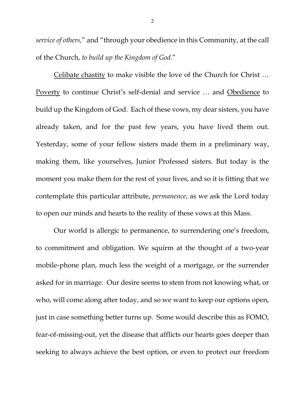*service of others,*" and "through your obedience in this Community, at the call of the Church, *to build up the Kingdom of God.*"

Celibate chastity to make visible the love of the Church for Christ … Poverty to continue Christ's self-denial and service … and Obedience to build up the Kingdom of God. Each of these vows, my dear sisters, you have already taken, and for the past few years, you have lived them out. Yesterday, some of your fellow sisters made them in a preliminary way, making them, like yourselves, Junior Professed sisters. But today is the moment you make them for the rest of your lives, and so it is fitting that we contemplate this particular attribute, *permanence*, as we ask the Lord today to open our minds and hearts to the reality of these vows at this Mass.

Our world is allergic to permanence, to surrendering one's freedom, to commitment and obligation. We squirm at the thought of a two-year mobile-phone plan, much less the weight of a mortgage, or the surrender asked for in marriage. Our desire seems to stem from not knowing what, or who, will come along after today, and so we want to keep our options open, just in case something better turns up. Some would describe this as FOMO, fear-of-missing-out, yet the disease that afflicts our hearts goes deeper than seeking to always achieve the best option, or even to protect our freedom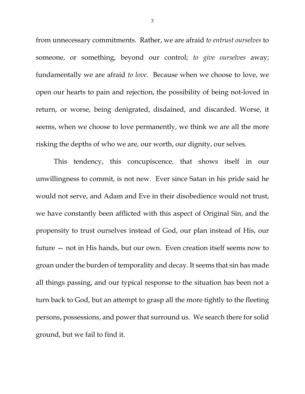from unnecessary commitments. Rather, we are afraid *to entrust ourselves* to someone, or something, beyond our control; *to give ourselves* away; fundamentally we are afraid *to love*. Because when we choose to love, we open our hearts to pain and rejection, the possibility of being not-loved in return, or worse, being denigrated, disdained, and discarded. Worse, it seems, when we choose to love permanently, we think we are all the more risking the depths of who we are, our worth, our dignity, our selves.

This tendency, this concupiscence, that shows itself in our unwillingness to commit, is not new. Ever since Satan in his pride said he would not serve, and Adam and Eve in their disobedience would not trust, we have constantly been afflicted with this aspect of Original Sin, and the propensity to trust ourselves instead of God, our plan instead of His, our future — not in His hands, but our own. Even creation itself seems now to groan under the burden of temporality and decay. It seems that sin has made all things passing, and our typical response to the situation has been not a turn back to God, but an attempt to grasp all the more tightly to the fleeting persons, possessions, and power that surround us. We search there for solid ground, but we fail to find it.

3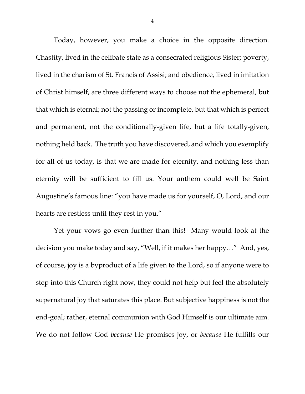Today, however, you make a choice in the opposite direction. Chastity, lived in the celibate state as a consecrated religious Sister; poverty, lived in the charism of St. Francis of Assisi; and obedience, lived in imitation of Christ himself, are three different ways to choose not the ephemeral, but that which is eternal; not the passing or incomplete, but that which is perfect and permanent, not the conditionally-given life, but a life totally-given, nothing held back. The truth you have discovered, and which you exemplify for all of us today, is that we are made for eternity, and nothing less than eternity will be sufficient to fill us. Your anthem could well be Saint Augustine's famous line: "you have made us for yourself, O, Lord, and our hearts are restless until they rest in you."

Yet your vows go even further than this! Many would look at the decision you make today and say, "Well, if it makes her happy…" And, yes, of course, joy is a byproduct of a life given to the Lord, so if anyone were to step into this Church right now, they could not help but feel the absolutely supernatural joy that saturates this place. But subjective happiness is not the end-goal; rather, eternal communion with God Himself is our ultimate aim. We do not follow God *because* He promises joy, or *because* He fulfills our

4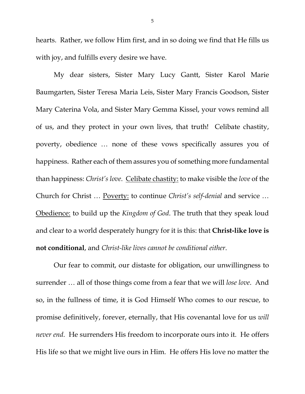hearts. Rather, we follow Him first, and in so doing we find that He fills us with joy, and fulfills every desire we have.

My dear sisters, Sister Mary Lucy Gantt, Sister Karol Marie Baumgarten, Sister Teresa Maria Leis, Sister Mary Francis Goodson, Sister Mary Caterina Vola, and Sister Mary Gemma Kissel, your vows remind all of us, and they protect in your own lives, that truth! Celibate chastity, poverty, obedience … none of these vows specifically assures you of happiness. Rather each of them assures you of something more fundamental than happiness: *Christ's love*. Celibate chastity: to make visible the *love* of the Church for Christ … Poverty: to continue *Christ's self-denial* and service … Obedience: to build up the *Kingdom of God*. The truth that they speak loud and clear to a world desperately hungry for it is this: that **Christ-like love is not conditional**, and *Christ-like lives cannot be conditional either*.

Our fear to commit, our distaste for obligation, our unwillingness to surrender … all of those things come from a fear that we will *lose love*. And so, in the fullness of time, it is God Himself Who comes to our rescue, to promise definitively, forever, eternally, that His covenantal love for us *will never end*. He surrenders His freedom to incorporate ours into it. He offers His life so that we might live ours in Him. He offers His love no matter the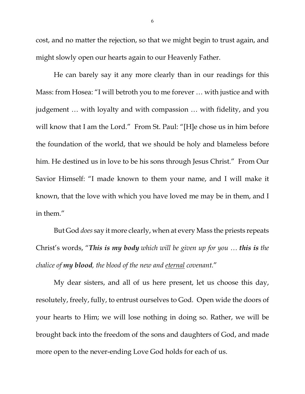cost, and no matter the rejection, so that we might begin to trust again, and might slowly open our hearts again to our Heavenly Father.

He can barely say it any more clearly than in our readings for this Mass: from Hosea: "I will betroth you to me forever … with justice and with judgement … with loyalty and with compassion … with fidelity, and you will know that I am the Lord." From St. Paul: "[H]e chose us in him before the foundation of the world, that we should be holy and blameless before him. He destined us in love to be his sons through Jesus Christ." From Our Savior Himself: "I made known to them your name, and I will make it known, that the love with which you have loved me may be in them, and I in them."

But God *does* say it more clearly, when at every Mass the priests repeats Christ's words, "*This is my body which will be given up for you … this is the chalice of my blood, the blood of the new and eternal covenant.*"

My dear sisters, and all of us here present, let us choose this day, resolutely, freely, fully, to entrust ourselves to God. Open wide the doors of your hearts to Him; we will lose nothing in doing so. Rather, we will be brought back into the freedom of the sons and daughters of God, and made more open to the never-ending Love God holds for each of us.